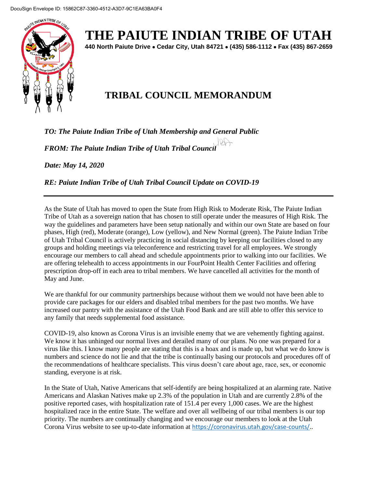

**THE PAIUTE INDIAN TRIBE OF UTAH**

**440 North Paiute Drive Cedar City, Utah 84721 (435) 586-1112 Fax (435) 867-2659** 

## **TRIBAL COUNCIL MEMORANDUM**

*TO: The Paiute Indian Tribe of Utah Membership and General Public* 

*FROM: The Paiute Indian Tribe of Utah Tribal Council* 

*Date: May 14, 2020*

*RE: Paiute Indian Tribe of Utah Tribal Council Update on COVID-19*

As the State of Utah has moved to open the State from High Risk to Moderate Risk, The Paiute Indian Tribe of Utah as a sovereign nation that has chosen to still operate under the measures of High Risk. The way the guidelines and parameters have been setup nationally and within our own State are based on four phases, High (red), Moderate (orange), Low (yellow), and New Normal (green). The Paiute Indian Tribe of Utah Tribal Council is actively practicing in social distancing by keeping our facilities closed to any groups and holding meetings via teleconference and restricting travel for all employees. We strongly encourage our members to call ahead and schedule appointments prior to walking into our facilities. We are offering telehealth to access appointments in our FourPoint Health Center Facilities and offering prescription drop-off in each area to tribal members. We have cancelled all activities for the month of May and June.

We are thankful for our community partnerships because without them we would not have been able to provide care packages for our elders and disabled tribal members for the past two months. We have increased our pantry with the assistance of the Utah Food Bank and are still able to offer this service to any family that needs supplemental food assistance.

COVID-19, also known as Corona Virus is an invisible enemy that we are vehemently fighting against. We know it has unhinged our normal lives and derailed many of our plans. No one was prepared for a virus like this. I know many people are stating that this is a hoax and is made up, but what we do know is numbers and science do not lie and that the tribe is continually basing our protocols and procedures off of the recommendations of healthcare specialists. This virus doesn't care about age, race, sex, or economic standing, everyone is at risk.

In the State of Utah, Native Americans that self-identify are being hospitalized at an alarming rate. Native Americans and Alaskan Natives make up 2.3% of the population in Utah and are currently 2.8% of the positive reported cases, with hospitalization rate of 151.4 per every 1,000 cases. We are the highest hospitalized race in the entire State. The welfare and over all wellbeing of our tribal members is our top priority. The numbers are continually changing and we encourage our members to look at the Utah Corona Virus website to see up-to-date information at [https://coronavirus.utah.gov/case-counts/.](https://coronavirus.utah.gov/case-counts/).